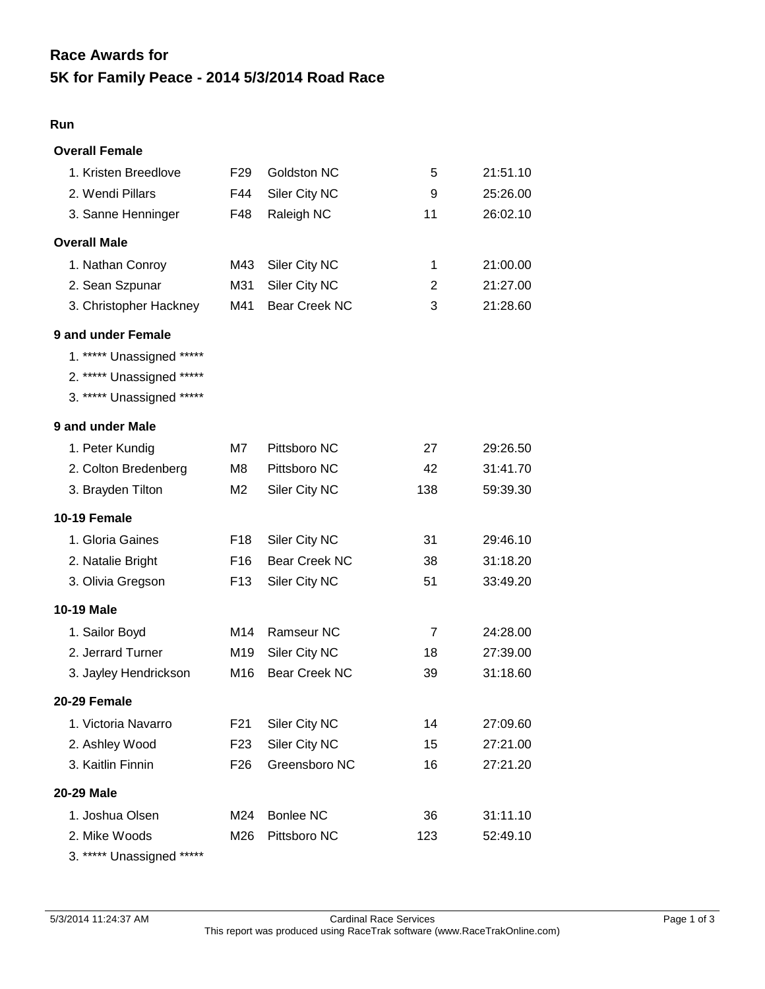# **5K for Family Peace - 2014 5/3/2014 Road Race Race Awards for**

#### **Run**

| <b>Overall Female</b>     |                 |                      |                |          |
|---------------------------|-----------------|----------------------|----------------|----------|
| 1. Kristen Breedlove      | F <sub>29</sub> | Goldston NC          | 5              | 21:51.10 |
| 2. Wendi Pillars          | F44             | Siler City NC        | 9              | 25:26.00 |
| 3. Sanne Henninger        | F48             | Raleigh NC           | 11             | 26:02.10 |
| <b>Overall Male</b>       |                 |                      |                |          |
| 1. Nathan Conroy          | M43             | Siler City NC        | 1              | 21:00.00 |
| 2. Sean Szpunar           | M31             | Siler City NC        | 2              | 21:27.00 |
| 3. Christopher Hackney    | M41             | <b>Bear Creek NC</b> | 3              | 21:28.60 |
| 9 and under Female        |                 |                      |                |          |
| 1. ***** Unassigned ***** |                 |                      |                |          |
| 2. ***** Unassigned ***** |                 |                      |                |          |
| 3. ***** Unassigned ***** |                 |                      |                |          |
| 9 and under Male          |                 |                      |                |          |
| 1. Peter Kundig           | M7              | Pittsboro NC         | 27             | 29:26.50 |
| 2. Colton Bredenberg      | M8              | Pittsboro NC         | 42             | 31:41.70 |
| 3. Brayden Tilton         | M <sub>2</sub>  | Siler City NC        | 138            | 59:39.30 |
| 10-19 Female              |                 |                      |                |          |
| 1. Gloria Gaines          | F <sub>18</sub> | Siler City NC        | 31             | 29:46.10 |
| 2. Natalie Bright         | F <sub>16</sub> | <b>Bear Creek NC</b> | 38             | 31:18.20 |
| 3. Olivia Gregson         | F <sub>13</sub> | Siler City NC        | 51             | 33:49.20 |
| <b>10-19 Male</b>         |                 |                      |                |          |
| 1. Sailor Boyd            | M14             | Ramseur NC           | $\overline{7}$ | 24:28.00 |
| 2. Jerrard Turner         | M19             | Siler City NC        | 18             | 27:39.00 |
| 3. Jayley Hendrickson     | M16             | <b>Bear Creek NC</b> | 39             | 31:18.60 |
| 20-29 Female              |                 |                      |                |          |
| 1. Victoria Navarro       | F <sub>21</sub> | Siler City NC        | 14             | 27:09.60 |
| 2. Ashley Wood            | F <sub>23</sub> | Siler City NC        | 15             | 27:21.00 |
| 3. Kaitlin Finnin         | F <sub>26</sub> | Greensboro NC        | 16             | 27:21.20 |
| <b>20-29 Male</b>         |                 |                      |                |          |
| 1. Joshua Olsen           | M24             | <b>Bonlee NC</b>     | 36             | 31:11.10 |
| 2. Mike Woods             | M26             | Pittsboro NC         | 123            | 52:49.10 |
| 3. ***** Unassigned ***** |                 |                      |                |          |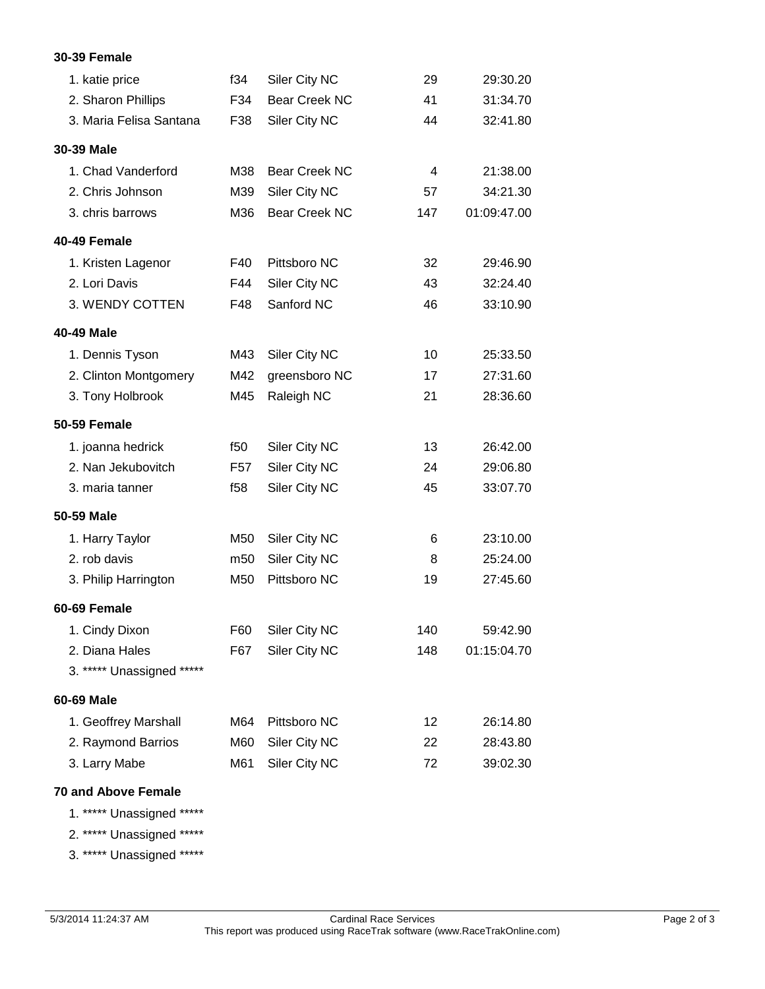#### **30-39 Female**

| 1. katie price            | f34             | Siler City NC        | 29  | 29:30.20    |
|---------------------------|-----------------|----------------------|-----|-------------|
| 2. Sharon Phillips        | F34             | <b>Bear Creek NC</b> | 41  | 31:34.70    |
| 3. Maria Felisa Santana   | F38             | Siler City NC        | 44  | 32:41.80    |
| 30-39 Male                |                 |                      |     |             |
| 1. Chad Vanderford        | M38             | <b>Bear Creek NC</b> | 4   | 21:38.00    |
| 2. Chris Johnson          | M39             | Siler City NC        | 57  | 34:21.30    |
| 3. chris barrows          | M36             | <b>Bear Creek NC</b> | 147 | 01:09:47.00 |
| 40-49 Female              |                 |                      |     |             |
| 1. Kristen Lagenor        | F40             | Pittsboro NC         | 32  | 29:46.90    |
| 2. Lori Davis             | F44             | Siler City NC        | 43  | 32:24.40    |
| 3. WENDY COTTEN           | F48             | Sanford NC           | 46  | 33:10.90    |
| <b>40-49 Male</b>         |                 |                      |     |             |
| 1. Dennis Tyson           | M43             | Siler City NC        | 10  | 25:33.50    |
| 2. Clinton Montgomery     | M42             | greensboro NC        | 17  | 27:31.60    |
| 3. Tony Holbrook          | M45             | Raleigh NC           | 21  | 28:36.60    |
| <b>50-59 Female</b>       |                 |                      |     |             |
| 1. joanna hedrick         | f50             | Siler City NC        | 13  | 26:42.00    |
| 2. Nan Jekubovitch        | F <sub>57</sub> | Siler City NC        | 24  | 29:06.80    |
| 3. maria tanner           | f $58$          | Siler City NC        | 45  | 33:07.70    |
| 50-59 Male                |                 |                      |     |             |
| 1. Harry Taylor           | M50             | Siler City NC        | 6   | 23:10.00    |
| 2. rob davis              | m50             | Siler City NC        | 8   | 25:24.00    |
| 3. Philip Harrington      | M50             | Pittsboro NC         | 19  | 27:45.60    |
| 60-69 Female              |                 |                      |     |             |
| 1. Cindy Dixon            | F60             | Siler City NC        | 140 | 59:42.90    |
| 2. Diana Hales            | F67             | Siler City NC        | 148 | 01:15:04.70 |
| 3. ***** Unassigned ***** |                 |                      |     |             |
| 60-69 Male                |                 |                      |     |             |
| 1. Geoffrey Marshall      | M64             | Pittsboro NC         | 12  | 26:14.80    |
| 2. Raymond Barrios        | M60             | Siler City NC        | 22  | 28:43.80    |
| 3. Larry Mabe             | M61             | Siler City NC        | 72  | 39:02.30    |
|                           |                 |                      |     |             |

## **70 and Above Female**

1. \*\*\*\*\* Unassigned \*\*\*\*\*

2. \*\*\*\*\* Unassigned \*\*\*\*\*

3. \*\*\*\*\* Unassigned \*\*\*\*\*